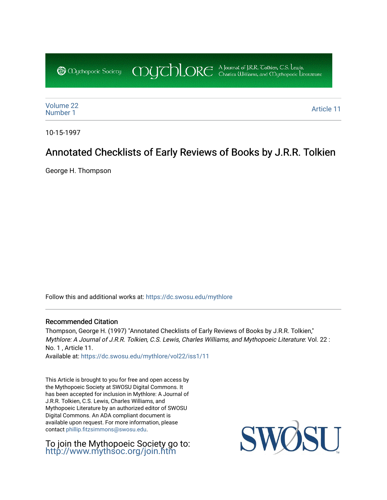COUCHORE A Journal of J.R.R. Colkien, C.S. Leuris, **@** Obychopoeic Sociecy

[Volume 22](https://dc.swosu.edu/mythlore/vol22)<br>Number 1 [Number 1](https://dc.swosu.edu/mythlore/vol22/iss1) Article 11<br>Number 1 Article 11

10-15-1997

## Annotated Checklists of Early Reviews of Books by J.R.R. Tolkien

George H. Thompson

Follow this and additional works at: [https://dc.swosu.edu/mythlore](https://dc.swosu.edu/mythlore?utm_source=dc.swosu.edu%2Fmythlore%2Fvol22%2Fiss1%2F11&utm_medium=PDF&utm_campaign=PDFCoverPages) 

### Recommended Citation

Thompson, George H. (1997) "Annotated Checklists of Early Reviews of Books by J.R.R. Tolkien," Mythlore: A Journal of J.R.R. Tolkien, C.S. Lewis, Charles Williams, and Mythopoeic Literature: Vol. 22 : No. 1 , Article 11.

Available at: [https://dc.swosu.edu/mythlore/vol22/iss1/11](https://dc.swosu.edu/mythlore/vol22/iss1/11?utm_source=dc.swosu.edu%2Fmythlore%2Fvol22%2Fiss1%2F11&utm_medium=PDF&utm_campaign=PDFCoverPages)

This Article is brought to you for free and open access by the Mythopoeic Society at SWOSU Digital Commons. It has been accepted for inclusion in Mythlore: A Journal of J.R.R. Tolkien, C.S. Lewis, Charles Williams, and Mythopoeic Literature by an authorized editor of SWOSU Digital Commons. An ADA compliant document is available upon request. For more information, please contact [phillip.fitzsimmons@swosu.edu.](mailto:phillip.fitzsimmons@swosu.edu)

To join the Mythopoeic Society go to: <http://www.mythsoc.org/join.htm>

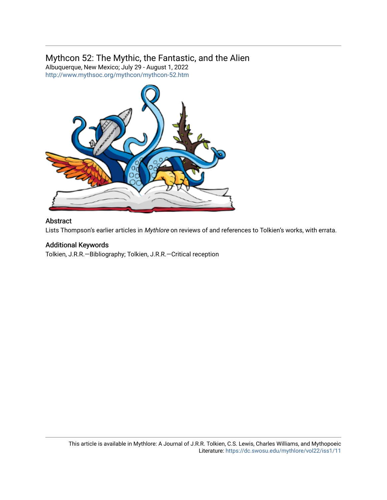## Mythcon 52: The Mythic, the Fantastic, and the Alien

Albuquerque, New Mexico; July 29 - August 1, 2022 <http://www.mythsoc.org/mythcon/mythcon-52.htm>



### Abstract

Lists Thompson's earlier articles in Mythlore on reviews of and references to Tolkien's works, with errata.

### Additional Keywords

Tolkien, J.R.R.—Bibliography; Tolkien, J.R.R.—Critical reception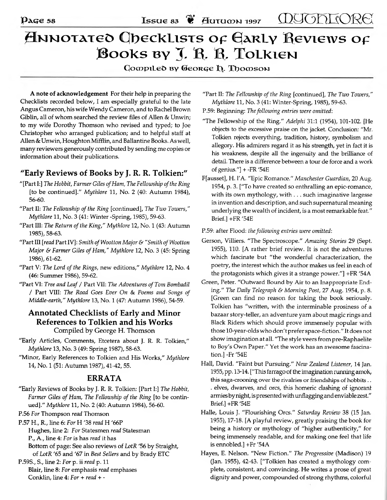# **ANNOTATEO CIDECKLISTS OF GARLY REVIEWS OF BOOKS BY J. R. R. TOLKIEN**

**Софрітеб ву Сеоксе Д. Трофзом** 

A note of acknowledgement For their help in preparing the **Checklists recorded below, I am especially grateful to the late Angus Cameron, his w ife Wendy Cameron, and to Rachel Brown** Giblin, all of whom searched the review files of Allen & Unwin; to my wife Dorothy Thomson who revised and typed; to Joe **Christopher who arranged publication; and to helpful staff at Allen & Unwin, Houghton Mifflin, and Ballantine Books. As well, many reviewers generously contributed by sending me copies or information about their publications.**

## "Early Reviews of Books by J. R. R. Tolkien:**"**

- **"[Part I:]** *The Hobbit, Farmer Giles of Ham, The Fellowship of the Ring* **[to be continued]."** *Mythlore* **11, No. 2 (40: Autumn 1984), 56-60.**
- **"Part II:** *The Fellowship of the Ring* **[continued],** *The Two Towers," Mythlore* **11, No. 3 (41: Winter -Spring, 1985), 59-63.**
- **"Part III:** *The Return of the King," Mythlore* **12, No. 1 (43: Autumn 1985) , 58-63.**
- **"Part III** *[read***Part IV]:** *Smith ofWootton Major & "Smith ofWootton Major & Farmer Giles of Ham," Mythlore* **12, No. 3 (45: Spring 1986) , 61-62.**
- **"Part V:** *The Lord of the Rings,* **new editions,"** *Mythlore* **12, No. 4 (46: Summer 1986), 59-62.**
- **"Part VI:** *Tree and Leaf***/ Part VII:** *The Adventures of Tom Bombadil* **/ Part VIII:** *The Road Goes Ever On* & *Poems and Songs of Middle-earth," Mythlore* **13, No. 1 (47: Autumn 1986), 54-59.**

## **A n n otated C h eck lists o f Early and M inor References to Tolkien and his Works** Compiled by George H. Thomson

- **"Early Articles, Comments, Etcetera about J. R. R. Tolkien,"** *Mythlore* **13, No. 3 (49: Spring 1987), 58-63.**
- **"Minor, Early References to Tolkien and His Works,"** *Mythlore* **14, No. 1 (51: Autumn 1987), 41-42,55.**

## **ERRATA**

**"Early Reviews of Books by J. R. R. Tolkien: [Part I:]** *The Hobbit, Farmer Giles of Ham, The Fellowship of the Ring* **[to be continued]."** *Mythlore* **11, No. 2 (40: Autumn 1984), 56-60.**

**P.56** *For* **Thompson** *read* **Thomson**

- **P.57 H., R., line 6:** *For* **H '38** *read* **H '66P**
	- **Hughes, line 2:** *For* **Statesmen** *read* **Statesman**
		- **P., A., line 4:** *For***is has** *read* **it has**
		- **Bottom of page: See also reviews of** *LotR* **'56 by Straight, of** *LotR* **'65 and '67 in** *Best Sellers* **and by Brady ETC**
- **P.59S., S., line 2:** *For* **p. ii** *read* **p. 11 Blair, line 8:** *For* **emphasis** *read* **emphases Conklin, line 4:** *For* + *read + -*

**"Part II:** *The Fellowship of the Ring* **[continued],** *The Two Towers," Mythlore* **11, No. 3 (41: Winter-Spring, 1985), 59-63.**

**P.59: Beginning:** *The following entries were omitted:*

- **"The Fellowship of the Ring."** *Adelphi* **31:1 (1954), 101-102. [He objects to the excessive praise on the jacket. Conclusion: "Mr. Tolkien rejects everything, tradition, history, symbolism and allegory. His admirers regard it as his strength, yet in fact it is his weakness, despite all the ingenuity and the brilliance of detail. There is a difference between a tour de force and a work of genius."] + -FR '54E**
- **F[ausset], H. l'A. "Epic Romance."** *Manchester Guardian,* **20 Aug. 1954, p. 3. ["To have created so enthralling an epic-romance, with its own mythology, with . . . such imaginative largesse in invention and description, and such supernatural meaning underlying the wealth of incident, is a most remarkable feat." Brief.] +FR '54E**

#### **P.59: after Flood:** *the following entries were omitted:*

- **Gerson, Villiers. "The Spectroscope."** *Amazing Stories 29* **(Sept. 1955), 110. [A rather brief review. It is not the adventures which fascinate but "the wonderful characterization, the poetry, the interest which the author makes us feel in each of the protagonists which gives it a strange power."] +FR '54A**
- **Green, Peter. "Outward Bound by Air to an Inappropriate Ending."** *The Daily Telegraph & Morning Post, 27* **Aug. 1954, p. 8. [Green can find no reason for taking the book seriously. Tolkien has "written, with the interminable prosiness of a bazaar story-teller, an adventure yarn about magic rings and Black Riders which should prove immensely popular with those 10-year-olds who don't prefer space-fiction." It does not show imagination at all. "The style veers from pre-Raphaelite to Boy's Own Paper." Yet the work has an awesome fascination.] -Fr '54E**
- **Hall, David. "Faint but Pursuing."** *New Zealand Listener,* **14 Jan. 1955, pp. 13-14.** ["This farrago of the imagination running amok, **this saga-crooning over the rivalries or friendships of hobbits .. . elves, dwarves, and ores, this homeric clashing of ignorant armies by night, is presented with unflagging and enviable zest." Brief.] +FR'54E**
- **Halle, Louis J. "Flourishing Ores."** *Saturday Review* **38 (15 Jan. 1955), 17-18. [A playful review, greatly praising the book for being a history or mythology of "higher authenticity," for being immensely readable, and for making one feel that life is ennobled.] +Fr '54A**
- **Hayes, E. Nelson. "New Fiction."** *The Progressive* **(Madison) 19** (Jan. 1955), 42-43. ["Tolkien has created a mythology com**plete, consistent, and convincing. He writes a prose of great dignity and power, compounded of strong rhythms, colorful**